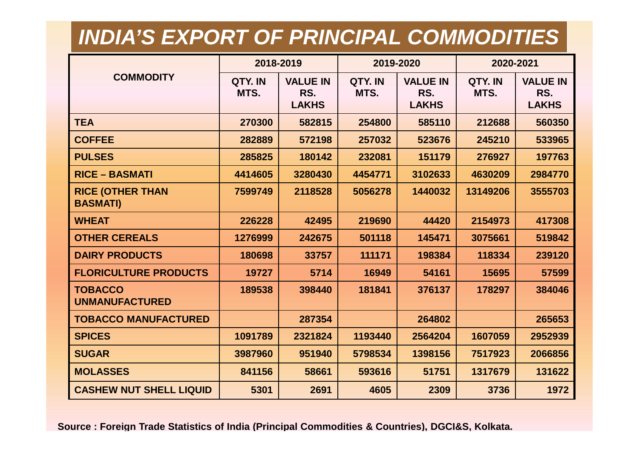## *INDIA'S EXPORT OF PRINCIPAL COMMODITIES*

|                                            | 2018-2019       |                                        | 2019-2020       |                                        | 2020-2021       |                                        |
|--------------------------------------------|-----------------|----------------------------------------|-----------------|----------------------------------------|-----------------|----------------------------------------|
| <b>COMMODITY</b>                           | QTY. IN<br>MTS. | <b>VALUE IN</b><br>RS.<br><b>LAKHS</b> | QTY. IN<br>MTS. | <b>VALUE IN</b><br>RS.<br><b>LAKHS</b> | QTY. IN<br>MTS. | <b>VALUE IN</b><br>RS.<br><b>LAKHS</b> |
| <b>TEA</b>                                 | 270300          | 582815                                 | 254800          | 585110                                 | 212688          | 560350                                 |
| <b>COFFEE</b>                              | 282889          | 572198                                 | 257032          | 523676                                 | 245210          | 533965                                 |
| <b>PULSES</b>                              | 285825          | 180142                                 | 232081          | 151179                                 | 276927          | 197763                                 |
| <b>RICE - BASMATI</b>                      | 4414605         | 3280430                                | 4454771         | 3102633                                | 4630209         | 2984770                                |
| <b>RICE (OTHER THAN</b><br><b>BASMATI)</b> | 7599749         | 2118528                                | 5056278         | 1440032                                | 13149206        | 3555703                                |
| <b>WHEAT</b>                               | 226228          | 42495                                  | 219690          | 44420                                  | 2154973         | 417308                                 |
| <b>OTHER CEREALS</b>                       | 1276999         | 242675                                 | 501118          | 145471                                 | 3075661         | 519842                                 |
| <b>DAIRY PRODUCTS</b>                      | 180698          | 33757                                  | 111171          | 198384                                 | 118334          | 239120                                 |
| <b>FLORICULTURE PRODUCTS</b>               | 19727           | 5714                                   | 16949           | 54161                                  | 15695           | 57599                                  |
| <b>TOBACCO</b><br><b>UNMANUFACTURED</b>    | 189538          | 398440                                 | 181841          | 376137                                 | 178297          | 384046                                 |
| <b>TOBACCO MANUFACTURED</b>                |                 | 287354                                 |                 | 264802                                 |                 | 265653                                 |
| <b>SPICES</b>                              | 1091789         | 2321824                                | 1193440         | 2564204                                | 1607059         | 2952939                                |
| <b>SUGAR</b>                               | 3987960         | 951940                                 | 5798534         | 1398156                                | 7517923         | 2066856                                |
| <b>MOLASSES</b>                            | 841156          | 58661                                  | 593616          | 51751                                  | 1317679         | 131622                                 |
| <b>CASHEW NUT SHELL LIQUID</b>             | 5301            | 2691                                   | 4605            | 2309                                   | 3736            | 1972                                   |